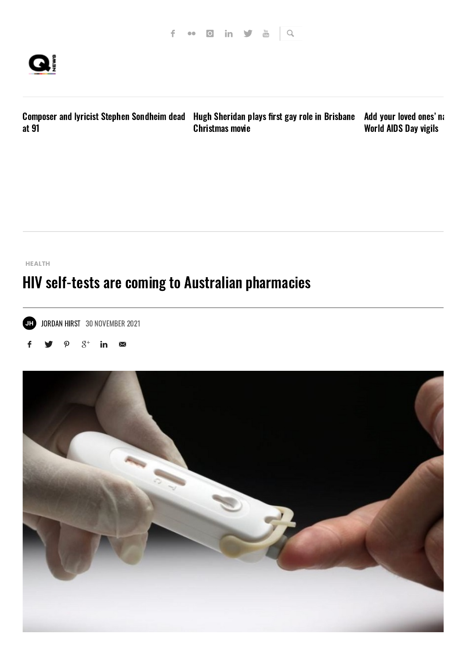

Composer and Ivricist Stephen [Sondheim](https://qnews.com.au/composer-and-lyricist-stephen-sondheim-dead-at-91/) dead Hugh Sheridan plays first gay role in Brisbane Add your loved ones'na at 91 [Christmas](https://qnews.com.au/hugh-sheridan-plays-first-gay-role-in-brisbane-christmas-movie/) movie [World](https://qnews.com.au/add-your-lost-loved-ones-to-queenslands-world-aids-day-vigils/) AIDS Day vigils

#### **[HEALTH](https://qnews.com.au/category/lifestyle/health/)**

# HIV self-tests are coming to Australian pharmacies





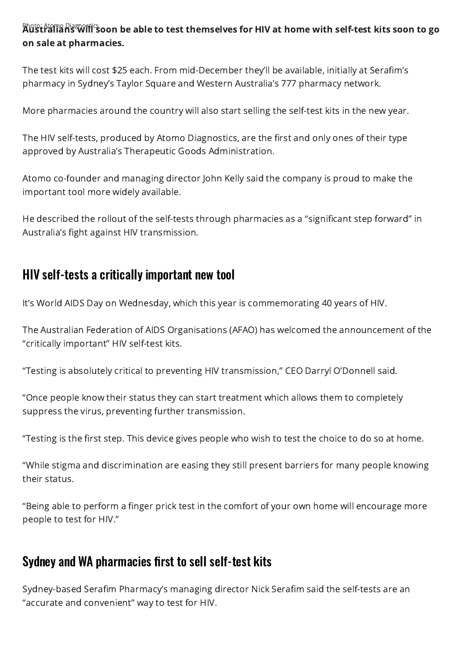Photo: Atomo Diagnostics **oon be able to test themselves for HIV at home with self-test kits soon to go** on sale at pharmacies.

The test kits will cost \$25 each. From mid-December they'll be available, initially at Serafim's pharmacy in Sydney's Taylor Square and Western Australia's 777 pharmacy network.

More pharmacies around the country will also start selling the self-test kits in the new year.

The HIV self-tests, produced by Atomo Diagnostics, are the first and only ones of their type approved by Australia's Therapeutic Goods Administration.

Atomo co-founder and managing director John Kelly said the company is proud to make the important tool more widely available.

He described the rollout of the self-tests through pharmacies as a "significant step forward" in Australia's fight against HIV transmission.

### HIV self-tests a critically important new tool

It's World AIDS Day on Wednesday, which this year is commemorating 40 years of HIV.

The Australian Federation of AIDS Organisations (AFAO) has welcomed the announcement of the "critically important" HIV self-test kits.

"Testing is absolutely critical to preventing HIV transmission," CEO Darryl O'Donnell said.

"Once people know their status they can start treatment which allows them to completely suppress the virus, preventing further transmission.

"Testing is the first step. This device gives people who wish to test the choice to do so at home.

"While stigma and discrimination are easing they still present barriers for many people knowing their status.

"Being able to perform a finger prick test in the comfort of your own home will encourage more people to test for HIV."

### Sydney and WA pharmacies first to sell self-test kits

Sydney-based Serafim Pharmacy's managing director Nick Serafim said the self-tests are an "accurate and convenient" way to test for HIV.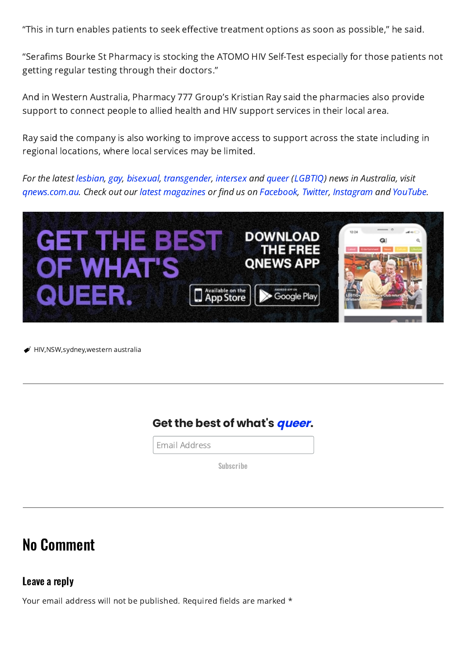"This in turn enables patients to seek effective treatment options as soon as possible," he said.

"Serafims Bourke St Pharmacy is stocking the ATOMO HIV Self-Test especially for those patients not getting regular testing through their doctors."

And in Western Australia, Pharmacy 777 Group's Kristian Ray said the pharmacies also provide support to connect people to allied health and HIV support services in their local area.

Ray said the company is also working to improve access to support across the state including in regional locations, where local services may be limited.

For the latest [lesbian](https://qnews.com.au/?s=lesbian), [gay](https://qnews.com.au/?s=gay), [bisexual](https://qnews.com.au/?s=bisexual), [transgender](https://qnews.com.au/?s=transgender), [intersex](https://qnews.com.au/?s=intersex) and [queer](https://qnews.com.au/?s=queer) ([LGBTIQ](https://qnews.com.au/?s=LGBTIQ)) news in Australia, visit [qnews.com.au](https://qnews.com.au/). Check out our latest [magazines](https://qnews.com.au/magazine/) or find us on [Facebook](https://www.facebook.com/QNewsMag), [Twitter](https://twitter.com/qnews_media), [Instagram](https://www.instagram.com/qnewsmag) and [YouTube](https://www.youtube.com/user/QNewsAustralia).



 $\blacktriangleright$  [HIV,](https://qnews.com.au/tag/hiv/)[NSW,](https://qnews.com.au/tag/nsw/)[sydney,w](https://qnews.com.au/tag/sydney/)estern [australia](https://qnews.com.au/tag/western-australia/)

#### **Get the best of what's queer.**

Email Address

Subscribe

## No Comment

Leave a reply

Your email address will not be published. Required fields are marked \*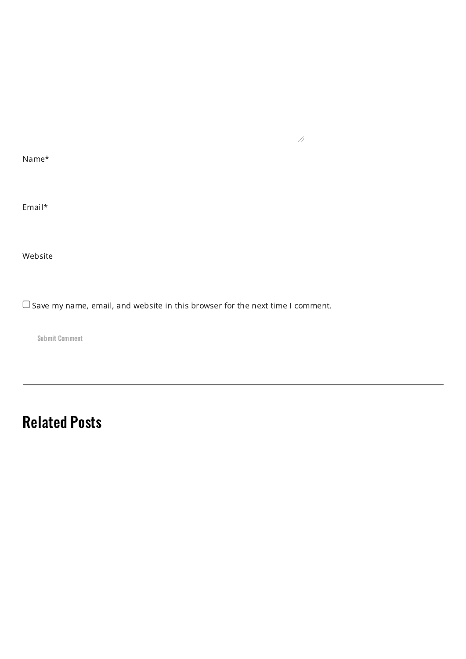Name\*

Email\*

Website

 $\Box$  Save my name, email, and website in this browser for the next time I comment.

 $\mathcal{A}$ 

Submit Comment

# Related Posts